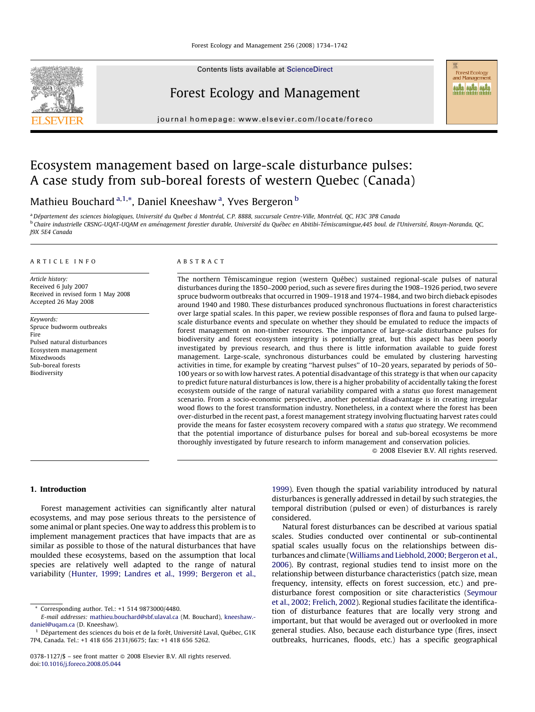Contents lists available at [ScienceDirect](http://www.sciencedirect.com/science/journal/03781127)



Forest Ecology and Management

journal homepage: www.elsevier.com/locate/foreco

# Ecosystem management based on large-scale disturbance pulses: A case study from sub-boreal forests of western Quebec (Canada)

Mathieu Bouchard <sup>a,1,\*</sup>, Daniel Kneeshaw <sup>a</sup>, Yves Bergeron <sup>b</sup>

<sup>a</sup> Département des sciences biologiques, Université du Québec à Montréal, C.P. 8888, succursale Centre-Ville, Montréal, QC, H3C 3P8 Canada <sup>b</sup> Chaire industrielle CRSNG-UQAT-UQAM en aménagement forestier durable, Université du Québec en Abitibi-Témiscamingue,445 boul. de l'Université, Rouyn-Noranda, QC, J9X 5E4 Canada

#### ARTICLE INFO

Article history: Received 6 July 2007 Received in revised form 1 May 2008 Accepted 26 May 2008

Keywords: Spruce budworm outbreaks Fire Pulsed natural disturbances Ecosystem management Mixedwoods Sub-boreal forests Biodiversity

#### ABSTRACT

The northern Témiscamingue region (western Québec) sustained regional-scale pulses of natural disturbances during the 1850–2000 period, such as severe fires during the 1908–1926 period, two severe spruce budworm outbreaks that occurred in 1909–1918 and 1974–1984, and two birch dieback episodes around 1940 and 1980. These disturbances produced synchronous fluctuations in forest characteristics over large spatial scales. In this paper, we review possible responses of flora and fauna to pulsed largescale disturbance events and speculate on whether they should be emulated to reduce the impacts of forest management on non-timber resources. The importance of large-scale disturbance pulses for biodiversity and forest ecosystem integrity is potentially great, but this aspect has been poorly investigated by previous research, and thus there is little information available to guide forest management. Large-scale, synchronous disturbances could be emulated by clustering harvesting activities in time, for example by creating ''harvest pulses'' of 10–20 years, separated by periods of 50– 100 years or so with low harvest rates. A potential disadvantage of this strategy is that when our capacity to predict future natural disturbances is low, there is a higher probability of accidentally taking the forest ecosystem outside of the range of natural variability compared with a status quo forest management scenario. From a socio-economic perspective, another potential disadvantage is in creating irregular wood flows to the forest transformation industry. Nonetheless, in a context where the forest has been over-disturbed in the recent past, a forest management strategy involving fluctuating harvest rates could provide the means for faster ecosystem recovery compared with a status quo strategy. We recommend that the potential importance of disturbance pulses for boreal and sub-boreal ecosystems be more thoroughly investigated by future research to inform management and conservation policies.

- 2008 Elsevier B.V. All rights reserved.

Forest Ecology and Management NA NA NA

# 1. Introduction

Forest management activities can significantly alter natural ecosystems, and may pose serious threats to the persistence of some animal or plant species. One way to address this problem is to implement management practices that have impacts that are as similar as possible to those of the natural disturbances that have moulded these ecosystems, based on the assumption that local species are relatively well adapted to the range of natural variability ([Hunter, 1999; Landres et al., 1999; Bergeron et al.,](#page-7-0)

[1999](#page-7-0)). Even though the spatial variability introduced by natural disturbances is generally addressed in detail by such strategies, the temporal distribution (pulsed or even) of disturbances is rarely considered.

Natural forest disturbances can be described at various spatial scales. Studies conducted over continental or sub-continental spatial scales usually focus on the relationships between disturbances and climate [\(Williams and Liebhold, 2000; Bergeron et al.,](#page-8-0) [2006\)](#page-8-0). By contrast, regional studies tend to insist more on the relationship between disturbance characteristics (patch size, mean frequency, intensity, effects on forest succession, etc.) and predisturbance forest composition or site characteristics [\(Seymour](#page-7-0) [et al., 2002; Frelich, 2002](#page-7-0)). Regional studies facilitate the identification of disturbance features that are locally very strong and important, but that would be averaged out or overlooked in more general studies. Also, because each disturbance type (fires, insect outbreaks, hurricanes, floods, etc.) has a specific geographical

Corresponding author. Tel.: +1 514 9873000/4480.

E-mail addresses: [mathieu.bouchard@sbf.ulaval.ca](mailto:mathieu.bouchard@sbf.ulaval.ca) (M. Bouchard), [kneeshaw.](mailto:kneeshaw.daniel@uqam.ca) [daniel@uqam.ca](mailto:kneeshaw.daniel@uqam.ca) (D. Kneeshaw).

 $1$  Département des sciences du bois et de la forêt, Université Laval, Québec, G1K 7P4, Canada. Tel.: +1 418 656 2131/6675; fax: +1 418 656 5262.

<sup>0378-1127/\$ –</sup> see front matter © 2008 Elsevier B.V. All rights reserved. doi:[10.1016/j.foreco.2008.05.044](http://dx.doi.org/10.1016/j.foreco.2008.05.044)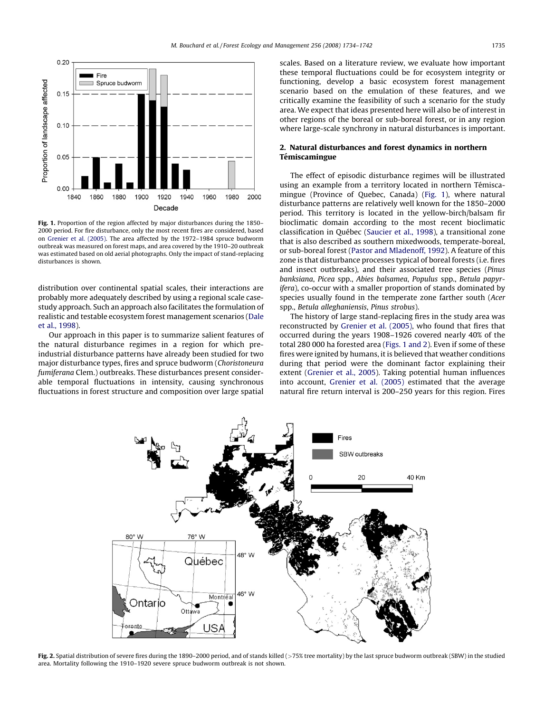<span id="page-1-0"></span>

Fig. 1. Proportion of the region affected by major disturbances during the 1850-2000 period. For fire disturbance, only the most recent fires are considered, based on [Grenier et al. \(2005\).](#page-7-0) The area affected by the 1972–1984 spruce budworm outbreak was measured on forest maps, and area covered by the 1910–20 outbreak was estimated based on old aerial photographs. Only the impact of stand-replacing disturbances is shown.

distribution over continental spatial scales, their interactions are probably more adequately described by using a regional scale casestudy approach. Such an approach also facilitates the formulation of realistic and testable ecosystem forest management scenarios ([Dale](#page-7-0) [et al., 1998](#page-7-0)).

Our approach in this paper is to summarize salient features of the natural disturbance regimes in a region for which preindustrial disturbance patterns have already been studied for two major disturbance types, fires and spruce budworm (Choristoneura fumiferana Clem.) outbreaks. These disturbances present considerable temporal fluctuations in intensity, causing synchronous fluctuations in forest structure and composition over large spatial scales. Based on a literature review, we evaluate how important these temporal fluctuations could be for ecosystem integrity or functioning, develop a basic ecosystem forest management scenario based on the emulation of these features, and we critically examine the feasibility of such a scenario for the study area. We expect that ideas presented here will also be of interest in other regions of the boreal or sub-boreal forest, or in any region where large-scale synchrony in natural disturbances is important.

# 2. Natural disturbances and forest dynamics in northern Témiscamingue

The effect of episodic disturbance regimes will be illustrated using an example from a territory located in northern Témiscamingue (Province of Quebec, Canada) (Fig. 1), where natural disturbance patterns are relatively well known for the 1850–2000 period. This territory is located in the yellow-birch/balsam fir bioclimatic domain according to the most recent bioclimatic classification in Québec ([Saucier et al., 1998](#page-7-0)), a transitional zone that is also described as southern mixedwoods, temperate-boreal, or sub-boreal forest [\(Pastor and Mladenoff, 1992](#page-7-0)). A feature of this zone is that disturbance processes typical of boreal forests (i.e. fires and insect outbreaks), and their associated tree species (Pinus banksiana, Picea spp., Abies balsamea, Populus spp., Betula papyrifera), co-occur with a smaller proportion of stands dominated by species usually found in the temperate zone farther south (Acer spp., Betula alleghaniensis, Pinus strobus).

The history of large stand-replacing fires in the study area was reconstructed by [Grenier et al. \(2005\),](#page-7-0) who found that fires that occurred during the years 1908–1926 covered nearly 40% of the total 280 000 ha forested area (Figs. 1 and 2). Even if some of these fires were ignited by humans, it is believed that weather conditions during that period were the dominant factor explaining their extent [\(Grenier et al., 2005](#page-7-0)). Taking potential human influences into account, [Grenier et al. \(2005\)](#page-7-0) estimated that the average natural fire return interval is 200–250 years for this region. Fires



Fig. 2. Spatial distribution of severe fires during the 1890-2000 period, and of stands killed (>75% tree mortality) by the last spruce budworm outbreak (SBW) in the studied area. Mortality following the 1910–1920 severe spruce budworm outbreak is not shown.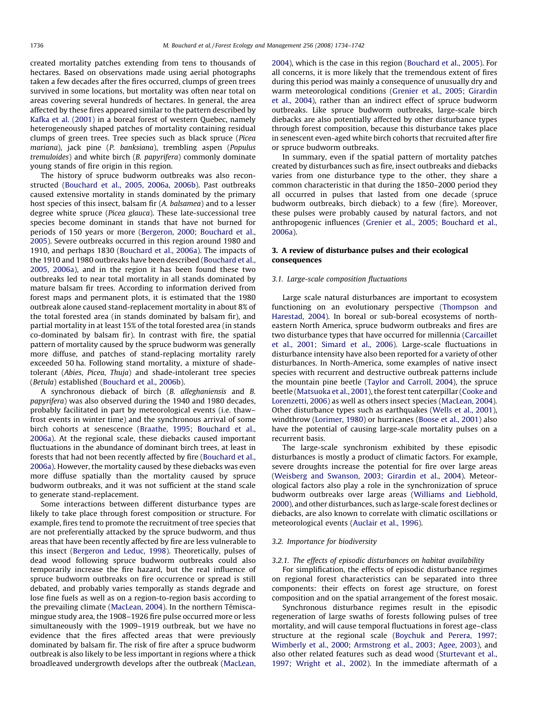created mortality patches extending from tens to thousands of hectares. Based on observations made using aerial photographs taken a few decades after the fires occurred, clumps of green trees survived in some locations, but mortality was often near total on areas covering several hundreds of hectares. In general, the area affected by these fires appeared similar to the pattern described by [Kafka et al. \(2001\)](#page-7-0) in a boreal forest of western Quebec, namely heterogeneously shaped patches of mortality containing residual clumps of green trees. Tree species such as black spruce (Picea mariana), jack pine (P. banksiana), trembling aspen (Populus tremuloides) and white birch (B. papyrifera) commonly dominate young stands of fire origin in this region.

The history of spruce budworm outbreaks was also reconstructed [\(Bouchard et al., 2005, 2006a, 2006b\)](#page-7-0). Past outbreaks caused extensive mortality in stands dominated by the primary host species of this insect, balsam fir (A. balsamea) and to a lesser degree white spruce (Picea glauca). These late-successional tree species become dominant in stands that have not burned for periods of 150 years or more [\(Bergeron, 2000; Bouchard et al.,](#page-6-0) [2005\)](#page-6-0). Severe outbreaks occurred in this region around 1980 and 1910, and perhaps 1830 [\(Bouchard et al., 2006a\)](#page-7-0). The impacts of the 1910 and 1980 outbreaks have been described ([Bouchard et al.,](#page-7-0) [2005, 2006a\)](#page-7-0), and in the region it has been found these two outbreaks led to near total mortality in all stands dominated by mature balsam fir trees. According to information derived from forest maps and permanent plots, it is estimated that the 1980 outbreak alone caused stand-replacement mortality in about 8% of the total forested area (in stands dominated by balsam fir), and partial mortality in at least 15% of the total forested area (in stands co-dominated by balsam fir). In contrast with fire, the spatial pattern of mortality caused by the spruce budworm was generally more diffuse, and patches of stand-replacing mortality rarely exceeded 50 ha. Following stand mortality, a mixture of shadetolerant (Abies, Picea, Thuja) and shade-intolerant tree species (Betula) established ([Bouchard et al., 2006b](#page-7-0)).

A synchronous dieback of birch (B. alleghaniensis and B. papyrifera) was also observed during the 1940 and 1980 decades, probably facilitated in part by meteorological events (i.e. thaw– frost events in winter time) and the synchronous arrival of some birch cohorts at senescence ([Braathe, 1995; Bouchard et al.,](#page-7-0) [2006a](#page-7-0)). At the regional scale, these diebacks caused important fluctuations in the abundance of dominant birch trees, at least in forests that had not been recently affected by fire [\(Bouchard et al.,](#page-7-0) [2006a](#page-7-0)). However, the mortality caused by these diebacks was even more diffuse spatially than the mortality caused by spruce budworm outbreaks, and it was not sufficient at the stand scale to generate stand-replacement.

Some interactions between different disturbance types are likely to take place through forest composition or structure. For example, fires tend to promote the recruitment of tree species that are not preferentially attacked by the spruce budworm, and thus areas that have been recently affected by fire are less vulnerable to this insect [\(Bergeron and Leduc, 1998](#page-6-0)). Theoretically, pulses of dead wood following spruce budworm outbreaks could also temporarily increase the fire hazard, but the real influence of spruce budworm outbreaks on fire occurrence or spread is still debated, and probably varies temporally as stands degrade and lose fine fuels as well as on a region-to-region basis according to the prevailing climate ([MacLean, 2004](#page-7-0)). In the northern Témiscamingue study area, the 1908–1926 fire pulse occurred more or less simultaneously with the 1909–1919 outbreak, but we have no evidence that the fires affected areas that were previously dominated by balsam fir. The risk of fire after a spruce budworm outbreak is also likely to be less important in regions where a thick broadleaved undergrowth develops after the outbreak [\(MacLean,](#page-7-0)

[2004\)](#page-7-0), which is the case in this region [\(Bouchard et al., 2005](#page-7-0)). For all concerns, it is more likely that the tremendous extent of fires during this period was mainly a consequence of unusually dry and warm meteorological conditions [\(Grenier et al., 2005; Girardin](#page-7-0) [et al., 2004](#page-7-0)), rather than an indirect effect of spruce budworm outbreaks. Like spruce budworm outbreaks, large-scale birch diebacks are also potentially affected by other disturbance types through forest composition, because this disturbance takes place in senescent even-aged white birch cohorts that recruited after fire or spruce budworm outbreaks.

In summary, even if the spatial pattern of mortality patches created by disturbances such as fire, insect outbreaks and diebacks varies from one disturbance type to the other, they share a common characteristic in that during the 1850–2000 period they all occurred in pulses that lasted from one decade (spruce budworm outbreaks, birch dieback) to a few (fire). Moreover, these pulses were probably caused by natural factors, and not anthropogenic influences ([Grenier et al., 2005; Bouchard et al.,](#page-7-0) [2006a](#page-7-0)).

# 3. A review of disturbance pulses and their ecological consequences

#### 3.1. Large-scale composition fluctuations

Large scale natural disturbances are important to ecosystem functioning on an evolutionary perspective ([Thompson and](#page-8-0) [Harestad, 2004](#page-8-0)). In boreal or sub-boreal ecosystems of northeastern North America, spruce budworm outbreaks and fires are two disturbance types that have occurred for millennia ([Carcaillet](#page-7-0) [et al., 2001; Simard et al., 2006\)](#page-7-0). Large-scale fluctuations in disturbance intensity have also been reported for a variety of other disturbances. In North-America, some examples of native insect species with recurrent and destructive outbreak patterns include the mountain pine beetle [\(Taylor and Carroll, 2004](#page-8-0)), the spruce beetle ([Matsuoka et al., 2001](#page-7-0)), the forest tent caterpillar ([Cooke and](#page-7-0) [Lorenzetti, 2006](#page-7-0)) as well as others insect species ([MacLean, 2004\)](#page-7-0). Other disturbance types such as earthquakes ([Wells et al., 2001\)](#page-8-0), windthrow ([Lorimer, 1980](#page-7-0)) or hurricanes [\(Boose et al., 2001](#page-7-0)) also have the potential of causing large-scale mortality pulses on a recurrent basis.

The large-scale synchronism exhibited by these episodic disturbances is mostly a product of climatic factors. For example, severe droughts increase the potential for fire over large areas ([Weisberg and Swanson, 2003; Girardin et al., 2004\)](#page-8-0). Meteorological factors also play a role in the synchronization of spruce budworm outbreaks over large areas ([Williams and Liebhold,](#page-8-0) [2000\)](#page-8-0), and other disturbances, such as large-scale forest declines or diebacks, are also known to correlate with climatic oscillations or meteorological events [\(Auclair et al., 1996](#page-6-0)).

#### 3.2. Importance for biodiversity

#### 3.2.1. The effects of episodic disturbances on habitat availability

For simplification, the effects of episodic disturbance regimes on regional forest characteristics can be separated into three components: their effects on forest age structure, on forest composition and on the spatial arrangement of the forest mosaic.

Synchronous disturbance regimes result in the episodic regeneration of large swaths of forests following pulses of tree mortality, and will cause temporal fluctuations in forest age–class structure at the regional scale [\(Boychuk and Perera, 1997;](#page-7-0) [Wimberly et al., 2000; Armstrong et al., 2003; Agee, 2003](#page-7-0)), and also other related features such as dead wood [\(Sturtevant et al.,](#page-8-0) [1997; Wright et al., 2002\)](#page-8-0). In the immediate aftermath of a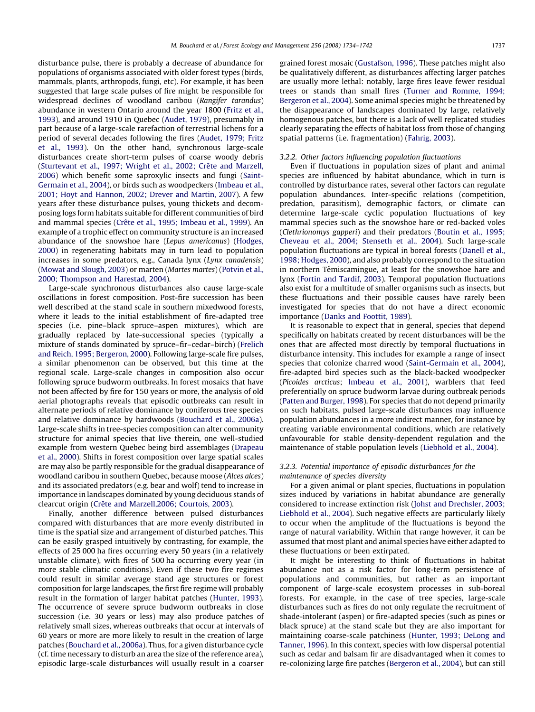disturbance pulse, there is probably a decrease of abundance for populations of organisms associated with older forest types (birds, mammals, plants, arthropods, fungi, etc). For example, it has been suggested that large scale pulses of fire might be responsible for widespread declines of woodland caribou (Rangifer tarandus) abundance in western Ontario around the year 1800 ([Fritz et al.,](#page-7-0) [1993\)](#page-7-0), and around 1910 in Quebec [\(Audet, 1979](#page-6-0)), presumably in part because of a large-scale rarefaction of terrestrial lichens for a period of several decades following the fires ([Audet, 1979; Fritz](#page-6-0) [et al., 1993](#page-6-0)). On the other hand, synchronous large-scale disturbances create short-term pulses of coarse woody debris (Sturtevant et al., 1997; Wright et al., 2002; Crête and Marzell, [2006\)](#page-8-0) which benefit some saproxylic insects and fungi ([Saint-](#page-7-0)[Germain et al., 2004\)](#page-7-0), or birds such as woodpeckers ([Imbeau et al.,](#page-7-0) [2001; Hoyt and Hannon, 2002; Drever and Martin, 2007\)](#page-7-0). A few years after these disturbance pulses, young thickets and decomposing logs form habitats suitable for different communities of bird and mammal species (Crête et al., 1995; Imbeau et al., 1999). An example of a trophic effect on community structure is an increased abundance of the snowshoe hare (Lepus americanus) [\(Hodges,](#page-7-0) [2000\)](#page-7-0) in regenerating habitats may in turn lead to population increases in some predators, e.g., Canada lynx (Lynx canadensis) ([Mowat and Slough, 2003](#page-7-0)) or marten (Martes martes) [\(Potvin et al.,](#page-7-0) [2000; Thompson and Harestad, 2004](#page-7-0)).

Large-scale synchronous disturbances also cause large-scale oscillations in forest composition. Post-fire succession has been well described at the stand scale in southern mixedwood forests, where it leads to the initial establishment of fire-adapted tree species (i.e. pine–black spruce–aspen mixtures), which are gradually replaced by late-successional species (typically a mixture of stands dominated by spruce–fir–cedar–birch) ([Frelich](#page-7-0) [and Reich, 1995; Bergeron, 2000](#page-7-0)). Following large-scale fire pulses, a similar phenomenon can be observed, but this time at the regional scale. Large-scale changes in composition also occur following spruce budworm outbreaks. In forest mosaics that have not been affected by fire for 150 years or more, the analysis of old aerial photographs reveals that episodic outbreaks can result in alternate periods of relative dominance by coniferous tree species and relative dominance by hardwoods [\(Bouchard et al., 2006a\)](#page-7-0). Large-scale shifts in tree-species composition can alter community structure for animal species that live therein, one well-studied example from western Quebec being bird assemblages [\(Drapeau](#page-7-0) [et al., 2000](#page-7-0)). Shifts in forest composition over large spatial scales are may also be partly responsible for the gradual disappearance of woodland caribou in southern Quebec, because moose (Alces alces) and its associated predators (e.g. bear and wolf) tend to increase in importance in landscapes dominated by young deciduous stands of clearcut origin (Crête and Marzell,2006; Courtois, 2003).

Finally, another difference between pulsed disturbances compared with disturbances that are more evenly distributed in time is the spatial size and arrangement of disturbed patches. This can be easily grasped intuitively by contrasting, for example, the effects of 25 000 ha fires occurring every 50 years (in a relatively unstable climate), with fires of 500 ha occurring every year (in more stable climatic conditions). Even if these two fire regimes could result in similar average stand age structures or forest composition for large landscapes, the first fire regime will probably result in the formation of larger habitat patches [\(Hunter, 1993\)](#page-7-0). The occurrence of severe spruce budworm outbreaks in close succession (i.e. 30 years or less) may also produce patches of relatively small sizes, whereas outbreaks that occur at intervals of 60 years or more are more likely to result in the creation of large patches [\(Bouchard et al., 2006a\)](#page-7-0). Thus, for a given disturbance cycle (cf. time necessary to disturb an area the size of the reference area), episodic large-scale disturbances will usually result in a coarser grained forest mosaic [\(Gustafson, 1996\)](#page-7-0). These patches might also be qualitatively different, as disturbances affecting larger patches are usually more lethal: notably, large fires leave fewer residual trees or stands than small fires [\(Turner and Romme, 1994;](#page-8-0) [Bergeron et al., 2004](#page-8-0)). Some animal species might be threatened by the disappearance of landscapes dominated by large, relatively homogenous patches, but there is a lack of well replicated studies clearly separating the effects of habitat loss from those of changing spatial patterns (i.e. fragmentation) [\(Fahrig, 2003](#page-7-0)).

## 3.2.2. Other factors influencing population fluctuations

Even if fluctuations in population sizes of plant and animal species are influenced by habitat abundance, which in turn is controlled by disturbance rates, several other factors can regulate population abundances. Inter-specific relations (competition, predation, parasitism), demographic factors, or climate can determine large-scale cyclic population fluctuations of key mammal species such as the snowshoe hare or red-backed voles (Clethrionomys gapperi) and their predators ([Boutin et al., 1995;](#page-7-0) [Cheveau et al., 2004; Stenseth et al., 2004](#page-7-0)). Such large-scale population fluctuations are typical in boreal forests ([Danell et al.,](#page-7-0) [1998; Hodges, 2000](#page-7-0)), and also probably correspond to the situation in northern Témiscamingue, at least for the snowshoe hare and lynx [\(Fortin and Tardif, 2003\)](#page-7-0). Temporal population fluctuations also exist for a multitude of smaller organisms such as insects, but these fluctuations and their possible causes have rarely been investigated for species that do not have a direct economic importance [\(Danks and Foottit, 1989\)](#page-7-0).

It is reasonable to expect that in general, species that depend specifically on habitats created by recent disturbances will be the ones that are affected most directly by temporal fluctuations in disturbance intensity. This includes for example a range of insect species that colonize charred wood [\(Saint-Germain et al., 2004\)](#page-7-0), fire-adapted bird species such as the black-backed woodpecker (Picoides arcticus; [Imbeau et al., 2001](#page-7-0)), warblers that feed preferentially on spruce budworm larvae during outbreak periods ([Patten and Burger, 1998\)](#page-7-0). For species that do not depend primarily on such habitats, pulsed large-scale disturbances may influence population abundances in a more indirect manner, for instance by creating variable environmental conditions, which are relatively unfavourable for stable density-dependent regulation and the maintenance of stable population levels [\(Liebhold et al., 2004\)](#page-7-0).

# 3.2.3. Potential importance of episodic disturbances for the maintenance of species diversity

For a given animal or plant species, fluctuations in population sizes induced by variations in habitat abundance are generally considered to increase extinction risk [\(Johst and Drechsler, 2003;](#page-7-0) [Liebhold et al., 2004](#page-7-0)). Such negative effects are particularly likely to occur when the amplitude of the fluctuations is beyond the range of natural variability. Within that range however, it can be assumed that most plant and animal species have either adapted to these fluctuations or been extirpated.

It might be interesting to think of fluctuations in habitat abundance not as a risk factor for long-term persistence of populations and communities, but rather as an important component of large-scale ecosystem processes in sub-boreal forests. For example, in the case of tree species, large-scale disturbances such as fires do not only regulate the recruitment of shade-intolerant (aspen) or fire-adapted species (such as pines or black spruce) at the stand scale but they are also important for maintaining coarse-scale patchiness [\(Hunter, 1993; DeLong and](#page-7-0) [Tanner, 1996](#page-7-0)). In this context, species with low dispersal potential such as cedar and balsam fir are disadvantaged when it comes to re-colonizing large fire patches ([Bergeron et al., 2004](#page-6-0)), but can still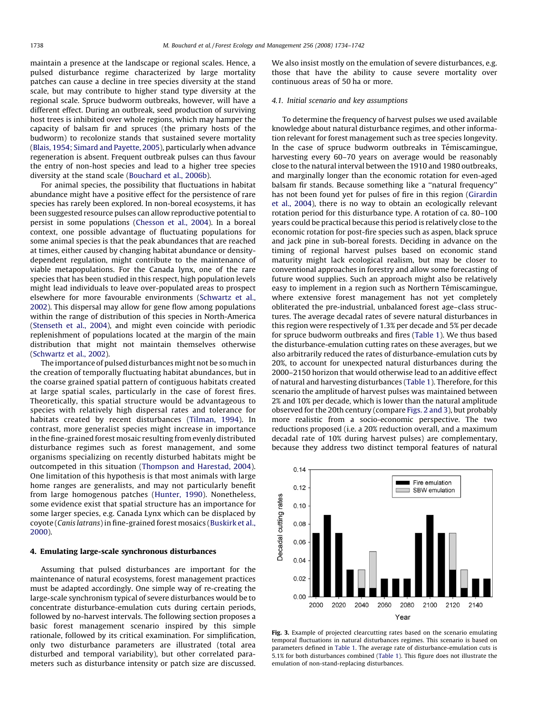<span id="page-4-0"></span>maintain a presence at the landscape or regional scales. Hence, a pulsed disturbance regime characterized by large mortality patches can cause a decline in tree species diversity at the stand scale, but may contribute to higher stand type diversity at the regional scale. Spruce budworm outbreaks, however, will have a different effect. During an outbreak, seed production of surviving host trees is inhibited over whole regions, which may hamper the capacity of balsam fir and spruces (the primary hosts of the budworm) to recolonize stands that sustained severe mortality ([Blais, 1954; Simard and Payette, 2005\)](#page-7-0), particularly when advance regeneration is absent. Frequent outbreak pulses can thus favour the entry of non-host species and lead to a higher tree species diversity at the stand scale ([Bouchard et al., 2006b](#page-7-0)).

For animal species, the possibility that fluctuations in habitat abundance might have a positive effect for the persistence of rare species has rarely been explored. In non-boreal ecosystems, it has been suggested resource pulses can allow reproductive potential to persist in some populations [\(Chesson et al., 2004\)](#page-7-0). In a boreal context, one possible advantage of fluctuating populations for some animal species is that the peak abundances that are reached at times, either caused by changing habitat abundance or densitydependent regulation, might contribute to the maintenance of viable metapopulations. For the Canada lynx, one of the rare species that has been studied in this respect, high population levels might lead individuals to leave over-populated areas to prospect elsewhere for more favourable environments [\(Schwartz et al.,](#page-7-0) [2002\)](#page-7-0). This dispersal may allow for gene flow among populations within the range of distribution of this species in North-America ([Stenseth et al., 2004](#page-8-0)), and might even coincide with periodic replenishment of populations located at the margin of the main distribution that might not maintain themselves otherwise ([Schwartz et al., 2002\)](#page-7-0).

The importance of pulsed disturbances might not be so much in the creation of temporally fluctuating habitat abundances, but in the coarse grained spatial pattern of contiguous habitats created at large spatial scales, particularly in the case of forest fires. Theoretically, this spatial structure would be advantageous to species with relatively high dispersal rates and tolerance for habitats created by recent disturbances [\(Tilman, 1994](#page-8-0)). In contrast, more generalist species might increase in importance in the fine-grained forest mosaic resulting from evenly distributed disturbance regimes such as forest management, and some organisms specializing on recently disturbed habitats might be outcompeted in this situation [\(Thompson and Harestad, 2004\)](#page-8-0). One limitation of this hypothesis is that most animals with large home ranges are generalists, and may not particularly benefit from large homogenous patches [\(Hunter, 1990\)](#page-7-0). Nonetheless, some evidence exist that spatial structure has an importance for some larger species, e.g. Canada Lynx which can be displaced by coyote (Canis latrans) in fine-grained forest mosaics ([Buskirk et al.,](#page-7-0) [2000](#page-7-0)).

#### 4. Emulating large-scale synchronous disturbances

Assuming that pulsed disturbances are important for the maintenance of natural ecosystems, forest management practices must be adapted accordingly. One simple way of re-creating the large-scale synchronism typical of severe disturbances would be to concentrate disturbance-emulation cuts during certain periods, followed by no-harvest intervals. The following section proposes a basic forest management scenario inspired by this simple rationale, followed by its critical examination. For simplification, only two disturbance parameters are illustrated (total area disturbed and temporal variability), but other correlated parameters such as disturbance intensity or patch size are discussed. We also insist mostly on the emulation of severe disturbances, e.g. those that have the ability to cause severe mortality over continuous areas of 50 ha or more.

# 4.1. Initial scenario and key assumptions

To determine the frequency of harvest pulses we used available knowledge about natural disturbance regimes, and other information relevant for forest management such as tree species longevity. In the case of spruce budworm outbreaks in Témiscamingue, harvesting every 60–70 years on average would be reasonably close to the natural interval between the 1910 and 1980 outbreaks, and marginally longer than the economic rotation for even-aged balsam fir stands. Because something like a ''natural frequency'' has not been found yet for pulses of fire in this region ([Girardin](#page-7-0) [et al., 2004](#page-7-0)), there is no way to obtain an ecologically relevant rotation period for this disturbance type. A rotation of ca. 80–100 years could be practical because this period is relatively close to the economic rotation for post-fire species such as aspen, black spruce and jack pine in sub-boreal forests. Deciding in advance on the timing of regional harvest pulses based on economic stand maturity might lack ecological realism, but may be closer to conventional approaches in forestry and allow some forecasting of future wood supplies. Such an approach might also be relatively easy to implement in a region such as Northern Témiscamingue, where extensive forest management has not yet completely obliterated the pre-industrial, unbalanced forest age–class structures. The average decadal rates of severe natural disturbances in this region were respectively of 1.3% per decade and 5% per decade for spruce budworm outbreaks and fires [\(Table 1\)](#page-5-0). We thus based the disturbance-emulation cutting rates on these averages, but we also arbitrarily reduced the rates of disturbance-emulation cuts by 20%, to account for unexpected natural disturbances during the 2000–2150 horizon that would otherwise lead to an additive effect of natural and harvesting disturbances ([Table 1\)](#page-5-0). Therefore, for this scenario the amplitude of harvest pulses was maintained between 2% and 10% per decade, which is lower than the natural amplitude observed for the 20th century (compare [Figs. 2 and 3\)](#page-1-0), but probably more realistic from a socio-economic perspective. The two reductions proposed (i.e. a 20% reduction overall, and a maximum decadal rate of 10% during harvest pulses) are complementary, because they address two distinct temporal features of natural



Fig. 3. Example of projected clearcutting rates based on the scenario emulating temporal fluctuations in natural disturbances regimes. This scenario is based on parameters defined in [Table 1.](#page-5-0) The average rate of disturbance-emulation cuts is 5.1% for both disturbances combined ([Table 1](#page-5-0)). This figure does not illustrate the emulation of non-stand-replacing disturbances.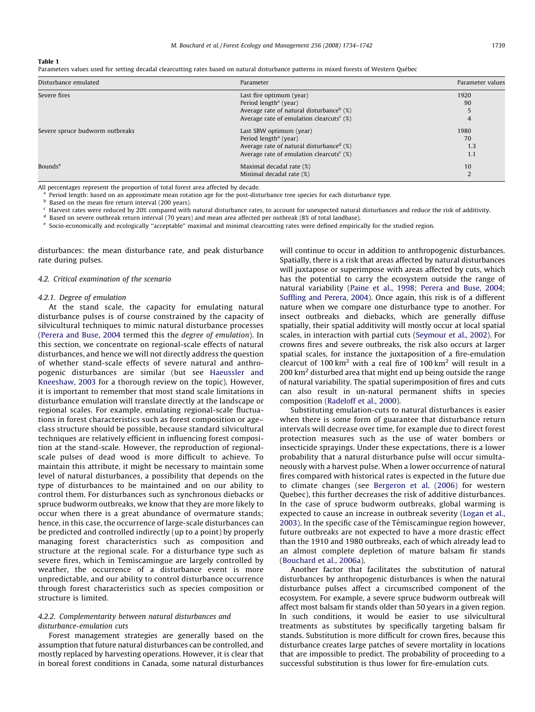#### <span id="page-5-0"></span>Table 1

Parameters values used for setting decadal clearcutting rates based on natural disturbance patterns in mixed forests of Western Québec

| Disturbance emulated            | Parameter                                               | Parameter values |
|---------------------------------|---------------------------------------------------------|------------------|
| Severe fires                    | Last fire optimum (year)                                | 1920             |
|                                 | Period length <sup>a</sup> (year)                       | 90               |
|                                 | Average rate of natural disturbance <sup>b</sup> (%)    |                  |
|                                 | Average rate of emulation clearcuts <sup>c</sup> $(\%)$ | 4                |
| Severe spruce budworm outbreaks | Last SBW optimum (year)                                 | 1980             |
|                                 | Period length <sup>a</sup> (year)                       | 70               |
|                                 | Average rate of natural disturbance <sup>d</sup> $(\%)$ | 1.3              |
|                                 | Average rate of emulation clearcuts <sup>c</sup> $(\%)$ | 1.1              |
| Bounds <sup>e</sup>             | Maximal decadal rate (%)                                | 10               |
|                                 | Minimal decadal rate (%)                                | $\overline{2}$   |

All percentages represent the proportion of total forest area affected by decade.

<sup>a</sup> Period length: based on an approximate mean rotation age for the post-disturbance tree species for each disturbance type.

 $\frac{b}{c}$  Based on the mean fire return interval (200 years).

Harvest rates were reduced by 20% compared with natural disturbance rates, to account for unexpected natural disturbances and reduce the risk of additivity.

<sup>d</sup> Based on severe outbreak return interval (70 years) and mean area affected per outbreak (8% of total landbase).

Socio-economically and ecologically "acceptable" maximal and minimal clearcutting rates were defined empirically for the studied region.

disturbances: the mean disturbance rate, and peak disturbance rate during pulses.

## 4.2. Critical examination of the scenario

# 4.2.1. Degree of emulation

At the stand scale, the capacity for emulating natural disturbance pulses is of course constrained by the capacity of silvicultural techniques to mimic natural disturbance processes ([Perera and Buse, 2004](#page-7-0) termed this the degree of emulation). In this section, we concentrate on regional-scale effects of natural disturbances, and hence we will not directly address the question of whether stand-scale effects of severe natural and anthropogenic disturbances are similar (but see [Haeussler and](#page-7-0) [Kneeshaw, 2003](#page-7-0) for a thorough review on the topic). However, it is important to remember that most stand scale limitations in disturbance emulation will translate directly at the landscape or regional scales. For example, emulating regional-scale fluctuations in forest characteristics such as forest composition or age– class structure should be possible, because standard silvicultural techniques are relatively efficient in influencing forest composition at the stand-scale. However, the reproduction of regionalscale pulses of dead wood is more difficult to achieve. To maintain this attribute, it might be necessary to maintain some level of natural disturbances, a possibility that depends on the type of disturbances to be maintained and on our ability to control them. For disturbances such as synchronous diebacks or spruce budworm outbreaks, we know that they are more likely to occur when there is a great abundance of overmature stands; hence, in this case, the occurrence of large-scale disturbances can be predicted and controlled indirectly (up to a point) by properly managing forest characteristics such as composition and structure at the regional scale. For a disturbance type such as severe fires, which in Temiscamingue are largely controlled by weather, the occurrence of a disturbance event is more unpredictable, and our ability to control disturbance occurrence through forest characteristics such as species composition or structure is limited.

# 4.2.2. Complementarity between natural disturbances and disturbance-emulation cuts

Forest management strategies are generally based on the assumption that future natural disturbances can be controlled, and mostly replaced by harvesting operations. However, it is clear that in boreal forest conditions in Canada, some natural disturbances will continue to occur in addition to anthropogenic disturbances. Spatially, there is a risk that areas affected by natural disturbances will juxtapose or superimpose with areas affected by cuts, which has the potential to carry the ecosystem outside the range of natural variability [\(Paine et al., 1998; Perera and Buse, 2004;](#page-7-0) [Suffling and Perera, 2004](#page-7-0)). Once again, this risk is of a different nature when we compare one disturbance type to another. For insect outbreaks and diebacks, which are generally diffuse spatially, their spatial additivity will mostly occur at local spatial scales, in interaction with partial cuts [\(Seymour et al., 2002\)](#page-7-0). For crowns fires and severe outbreaks, the risk also occurs at larger spatial scales, for instance the juxtaposition of a fire-emulation clearcut of 100 km<sup>2</sup> with a real fire of 100 km<sup>2</sup> will result in a 200  $\rm km^2$  disturbed area that might end up being outside the range of natural variability. The spatial superimposition of fires and cuts can also result in un-natural permanent shifts in species composition ([Radeloff et al., 2000](#page-7-0)).

Substituting emulation-cuts to natural disturbances is easier when there is some form of guarantee that disturbance return intervals will decrease over time, for example due to direct forest protection measures such as the use of water bombers or insecticide sprayings. Under these expectations, there is a lower probability that a natural disturbance pulse will occur simultaneously with a harvest pulse. When a lower occurrence of natural fires compared with historical rates is expected in the future due to climate changes (see [Bergeron et al. \(2006\)](#page-6-0) for western Quebec), this further decreases the risk of additive disturbances. In the case of spruce budworm outbreaks, global warming is expected to cause an increase in outbreak severity ([Logan et al.,](#page-7-0) [2003](#page-7-0)). In the specific case of the Témiscamingue region however, future outbreaks are not expected to have a more drastic effect than the 1910 and 1980 outbreaks, each of which already lead to an almost complete depletion of mature balsam fir stands ([Bouchard et al., 2006a\)](#page-7-0).

Another factor that facilitates the substitution of natural disturbances by anthropogenic disturbances is when the natural disturbance pulses affect a circumscribed component of the ecosystem. For example, a severe spruce budworm outbreak will affect most balsam fir stands older than 50 years in a given region. In such conditions, it would be easier to use silvicultural treatments as substitutes by specifically targeting balsam fir stands. Substitution is more difficult for crown fires, because this disturbance creates large patches of severe mortality in locations that are impossible to predict. The probability of proceeding to a successful substitution is thus lower for fire-emulation cuts.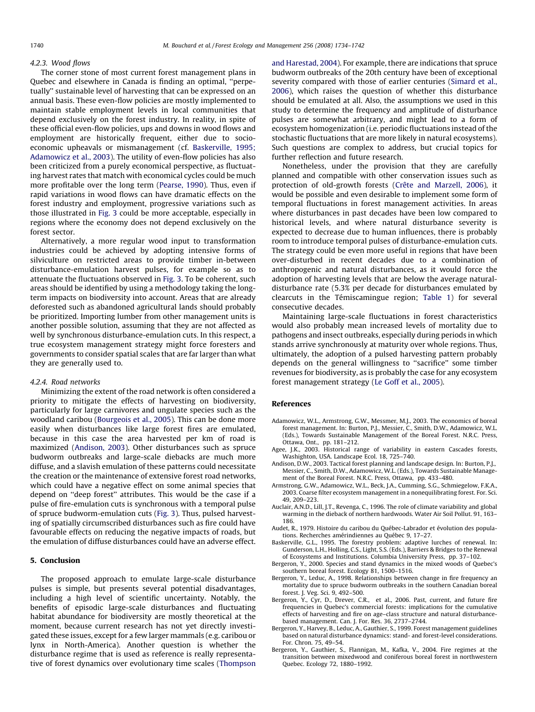#### <span id="page-6-0"></span>4.2.3. Wood flows

The corner stone of most current forest management plans in Quebec and elsewhere in Canada is finding an optimal, ''perpetually'' sustainable level of harvesting that can be expressed on an annual basis. These even-flow policies are mostly implemented to maintain stable employment levels in local communities that depend exclusively on the forest industry. In reality, in spite of these official even-flow policies, ups and downs in wood flows and employment are historically frequent, either due to socioeconomic upheavals or mismanagement (cf. Baskerville, 1995; Adamowicz et al., 2003). The utility of even-flow policies has also been criticized from a purely economical perspective, as fluctuating harvest rates that match with economical cycles could be much more profitable over the long term ([Pearse, 1990](#page-7-0)). Thus, even if rapid variations in wood flows can have dramatic effects on the forest industry and employment, progressive variations such as those illustrated in [Fig. 3](#page-4-0) could be more acceptable, especially in regions where the economy does not depend exclusively on the forest sector.

Alternatively, a more regular wood input to transformation industries could be achieved by adopting intensive forms of silviculture on restricted areas to provide timber in-between disturbance-emulation harvest pulses, for example so as to attenuate the fluctuations observed in [Fig. 3.](#page-4-0) To be coherent, such areas should be identified by using a methodology taking the longterm impacts on biodiversity into account. Areas that are already deforested such as abandoned agricultural lands should probably be prioritized. Importing lumber from other management units is another possible solution, assuming that they are not affected as well by synchronous disturbance-emulation cuts. In this respect, a true ecosystem management strategy might force foresters and governments to consider spatial scales that are far larger than what they are generally used to.

#### 4.2.4. Road networks

Minimizing the extent of the road network is often considered a priority to mitigate the effects of harvesting on biodiversity, particularly for large carnivores and ungulate species such as the woodland caribou [\(Bourgeois et al., 2005](#page-7-0)). This can be done more easily when disturbances like large forest fires are emulated, because in this case the area harvested per km of road is maximized (Andison, 2003). Other disturbances such as spruce budworm outbreaks and large-scale diebacks are much more diffuse, and a slavish emulation of these patterns could necessitate the creation or the maintenance of extensive forest road networks, which could have a negative effect on some animal species that depend on ''deep forest'' attributes. This would be the case if a pulse of fire-emulation cuts is synchronous with a temporal pulse of spruce budworm-emulation cuts ([Fig. 3](#page-4-0)). Thus, pulsed harvesting of spatially circumscribed disturbances such as fire could have favourable effects on reducing the negative impacts of roads, but the emulation of diffuse disturbances could have an adverse effect.

# 5. Conclusion

The proposed approach to emulate large-scale disturbance pulses is simple, but presents several potential disadvantages, including a high level of scientific uncertainty. Notably, the benefits of episodic large-scale disturbances and fluctuating habitat abundance for biodiversity are mostly theoretical at the moment, because current research has not yet directly investigated these issues, except for a few larger mammals (e.g. caribou or lynx in North-America). Another question is whether the disturbance regime that is used as reference is really representative of forest dynamics over evolutionary time scales ([Thompson](#page-8-0) [and Harestad, 2004](#page-8-0)). For example, there are indications that spruce budworm outbreaks of the 20th century have been of exceptional severity compared with those of earlier centuries [\(Simard et al.,](#page-7-0) [2006\)](#page-7-0), which raises the question of whether this disturbance should be emulated at all. Also, the assumptions we used in this study to determine the frequency and amplitude of disturbance pulses are somewhat arbitrary, and might lead to a form of ecosystem homogenization (i.e. periodic fluctuations instead of the stochastic fluctuations that are more likely in natural ecosystems). Such questions are complex to address, but crucial topics for further reflection and future research.

Nonetheless, under the provision that they are carefully planned and compatible with other conservation issues such as protection of old-growth forests (Crête and Marzell, 2006), it would be possible and even desirable to implement some form of temporal fluctuations in forest management activities. In areas where disturbances in past decades have been low compared to historical levels, and where natural disturbance severity is expected to decrease due to human influences, there is probably room to introduce temporal pulses of disturbance-emulation cuts. The strategy could be even more useful in regions that have been over-disturbed in recent decades due to a combination of anthropogenic and natural disturbances, as it would force the adoption of harvesting levels that are below the average naturaldisturbance rate (5.3% per decade for disturbances emulated by clearcuts in the Témiscamingue region; [Table 1](#page-5-0)) for several consecutive decades.

Maintaining large-scale fluctuations in forest characteristics would also probably mean increased levels of mortality due to pathogens and insect outbreaks, especially during periods in which stands arrive synchronously at maturity over whole regions. Thus, ultimately, the adoption of a pulsed harvesting pattern probably depends on the general willingness to ''sacrifice'' some timber revenues for biodiversity, as is probably the case for any ecosystem forest management strategy [\(Le Goff et al., 2005\)](#page-7-0).

# References

- Adamowicz, W.L., Armstrong, G.W., Messmer, M.J., 2003. The economics of boreal forest management. In: Burton, P.J., Messier, C., Smith, D.W., Adamowicz, W.L. (Eds.), Towards Sustainable Management of the Boreal Forest. N.R.C. Press, Ottawa, Ont., pp. 181–212.
- Agee, J.K., 2003. Historical range of variability in eastern Cascades forests, Washighton, USA. Landscape Ecol. 18, 725–740.
- Andison, D.W., 2003. Tactical forest planning and landscape design. In: Burton, P.J., Messier, C., Smith, D.W., Adamowicz, W.L. (Eds.), Towards Sustainable Management of the Boreal Forest. N.R.C. Press, Ottawa, pp. 433–480.
- Armstrong, G.W., Adamowicz, W.L., Beck, J.A., Cumming, S.G., Schmiegelow, F.K.A., 2003. Coarse filter ecosystem management in a nonequilibrating forest. For. Sci. 49, 209–223.
- Auclair, A.N.D., Lill, J.T., Revenga, C., 1996. The role of climate variability and global warming in the dieback of northern hardwoods. Water Air Soil Pollut. 91, 163– 186.
- Audet, R., 1979. Histoire du caribou du Québec-Labrador et évolution des populations. Recherches amérindiennes au Québec 9, 17-27.
- Baskerville, G.L., 1995. The forestry problem: adaptive lurches of renewal. In: Gunderson, L.H., Holling, C.S., Light, S.S. (Eds.), Barriers & Bridges to the Renewal of Ecosystems and Institutions. Columbia University Press, pp. 37–102.
- Bergeron, Y., 2000. Species and stand dynamics in the mixed woods of Quebec's southern boreal forest. Ecology 81, 1500–1516.
- Bergeron, Y., Leduc, A., 1998. Relationships between change in fire frequency an mortality due to spruce budworm outbreaks in the southern Canadian boreal forest. J. Veg. Sci. 9, 492–500.
- Bergeron, Y., Cyr, D., Drever, C.R., et al., 2006. Past, current, and future fire frequencies in Quebec's commercial forests: implications for the cumulative effects of harvesting and fire on age–class structure and natural disturbancebased management. Can. J. For. Res. 36, 2737–2744.
- Bergeron, Y., Harvey, B., Leduc, A., Gauthier, S., 1999. Forest management guidelines based on natural disturbance dynamics: stand- and forest-level considerations. For. Chron. 75, 49–54.
- Bergeron, Y., Gauthier, S., Flannigan, M., Kafka, V., 2004. Fire regimes at the transition between mixedwood and coniferous boreal forest in northwestern Quebec. Ecology 72, 1880–1992.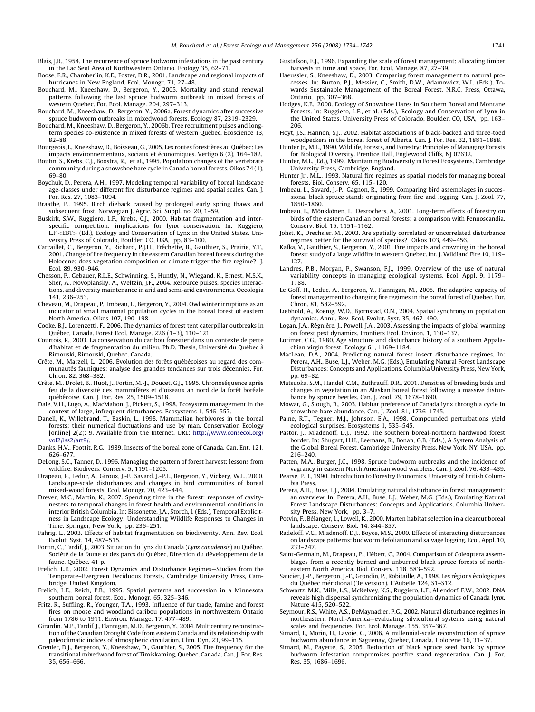- <span id="page-7-0"></span>Blais, J.R., 1954. The recurrence of spruce budworm infestations in the past century in the Lac Seul Area of Northwestern Ontario. Ecology 35, 62–71.
- Boose, E.R., Chamberlin, K.E., Foster, D.R., 2001. Landscape and regional impacts of hurricanes in New England. Ecol. Monogr. 71, 27–48.
- Bouchard, M., Kneeshaw, D., Bergeron, Y., 2005. Mortality and stand renewal patterns following the last spruce budworm outbreak in mixed forests of western Quebec. For. Ecol. Manage. 204, 297–313.
- Bouchard, M., Kneeshaw, D., Bergeron, Y., 2006a. Forest dynamics after successive spruce budworm outbreaks in mixedwood forests. Ecology 87, 2319–2329.
- Bouchard, M., Kneeshaw, D., Bergeron, Y., 2006b. Tree recruitment pulses and longterm species co-existence in mixed forests of western Québec. Écoscience 13, 82–88.
- Bourgeois, L., Kneeshaw, D., Boisseau, G., 2005. Les routes forestières au Québec: Les impacts environnementaux, sociaux et économiques. Vertigo 6 (2), 164-182.
- Boutin, S., Krebs, C.J., Boostra, R., et al., 1995. Population changes of the vertebrate community during a snowshoe hare cycle in Canada boreal forests. Oikos 74 (1), 69–80.
- Boychuk, D., Perera, A.H., 1997. Modeling temporal variability of boreal landscape age-classes under different fire disturbance regimes and spatial scales. Can. J. For. Res. 27, 1083–1094.
- Braathe, P., 1995. Birch dieback caused by prolonged early spring thaws and subsequent frost. Norwegian J. Agric. Sci. Suppl. no. 20, 1–59.
- Buskirk, S.W., Ruggiero, L.F., Krebs, C.J., 2000. Habitat fragmentation and interspecific competition: implications for lynx conservation. In: Ruggiero, L.F.<EBT> (Ed.), Ecology and Conservation of Lynx in the United States. University Press of Colorado, Boulder, CO, USA, pp. 83–100.
- Carcaillet, C., Bergeron, Y., Richard, P.J.H., Fréchette, B., Gauthier, S., Prairie, Y.T., 2001. Change of fire frequency in the eastern Canadian boreal forests during the Holocene: does vegetation composition or climate trigger the fire regime? J. Ecol. 89, 930–946.
- Chesson, P., Gebauer, R.L.E., Schwinning, S., Huntly, N., Wiegand, K., Ernest, M.S.K., Sher, A., Novoplansky, A., Weltzin, J.F., 2004. Resource pulses, species interactions, and diversity maintenance in arid and semi-arid environments. Oecologia 141, 236–253.
- Cheveau, M., Drapeau, P., Imbeau, L., Bergeron, Y., 2004. Owl winter irruptions as an indicator of small mammal population cycles in the boreal forest of eastern North America. Oikos 107, 190–198.
- Cooke, B.J., Lorenzetti, F., 2006. The dynamics of forest tent caterpillar outbreaks in Que´bec, Canada. Forest Ecol. Manage. 226 (1–3), 110–121.
- Courtois, R., 2003. La conservation du caribou forestier dans un contexte de perte d'habitat et de fragmentation du milieu. Ph.D. Thesis, Université du Québec à Rimouski, Rimouski, Quebec, Canada.
- Crête, M., Marzell, L., 2006. Évolution des forêts québécoises au regard des communautés fauniques: analyse des grandes tendances sur trois décennies. For. Chron. 82, 368–382.
- Crête, M., Drolet, B., Huot, J., Fortin, M.-J., Doucet, G.J., 1995. Chronoséquence après feu de la diversité des mammifères et d'oiseaux an nord de la forêt boréale québécoise. Can. J. For. Res. 25, 1509–1518.
- Dale, V.H., Lugo, A., MacMahon, J., Pickett, S., 1998. Ecosystem management in the context of large, infrequent disturbances. Ecosystems 1, 546–557.
- Danell, K., Willebrand, T., Baskin, L., 1998. Mammalian herbivores in the boreal forests: their numerical fluctuations and use by man. Conservation Ecology [online] 2(2): 9. Available from the Internet. URL: [http://www.consecol.org/](http://www.consecol.org/vol2/iss2/art9/) [vol2/iss2/art9/](http://www.consecol.org/vol2/iss2/art9/).
- Danks, H.V., Foottit, R.G., 1989. Insects of the boreal zone of Canada. Can. Ent. 121, 626–677.
- DeLong, S.C., Tanner, D., 1996. Managing the pattern of forest harvest: lessons from wildfire. Biodivers. Conserv. 5, 1191–1205.
- Drapeau, P., Leduc, A., Giroux, J.-F., Savard, J.-P.L., Bergeron, Y., Vickery, W.L., 2000. Landscape-scale disturbances and changes in bird communities of boreal mixed-wood forests. Ecol. Monogr. 70, 423–444.
- Drever, M.C., Martin, K., 2007. Spending time in the forest: responses of cavitynesters to temporal changes in forest health and environmental conditions in interior British Columbia. In: Bissonette, J.A., Storch, I. (Eds.), Temporal Explicitness in Landscape Ecology: Understanding Wildlife Responses to Changes in Time. Springer, New York, pp. 236–251.
- Fahrig, L., 2003. Effects of habitat fragmentation on biodiversity. Ann. Rev. Ecol. Evolut. Syst. 34, 487–515.
- Fortin, C., Tardif, J., 2003. Situation du lynx du Canada (Lynx canadensis) au Québec. Société de la faune et des parcs du Québec, Direction du développement de la faune, Québec. 41 p.
- Frelich, L.E., 2002. Forest Dynamics and Disturbance Regimes—Studies from the Temperate–Evergreen Deciduous Forests. Cambridge University Press, Cambridge, United Kingdom.
- Frelich, L.E., Reich, P.B., 1995. Spatial patterns and succession in a Minnesota southern boreal forest. Ecol. Monogr. 65, 325–346.
- Fritz, R., Suffling, R., Younger, T.A., 1993. Influence of fur trade, famine and forest fires on moose and woodland caribou populations in northwestern Ontario from 1786 to 1911. Environ. Manage. 17, 477–489.
- Girardin, M.P., Tardif, J., Flannigan, M.D., Bergeron, Y., 2004. Multicentury reconstruction of the Canadian Drought Code from eastern Canada and its relationship with paleoclimatic indices of atmospheric circulation. Clim. Dyn. 23, 99–115.
- Grenier, D.J., Bergeron, Y., Kneeshaw, D., Gauthier, S., 2005. Fire frequency for the transitional mixedwood forest of Timiskaming, Quebec, Canada. Can. J. For. Res. 35, 656–666.
- Gustafson, E.J., 1996. Expanding the scale of forest management: allocating timber harvests in time and space. For. Ecol. Manage. 87, 27–39.
- Haeussler, S., Kneeshaw, D., 2003. Comparing forest management to natural processes. In: Burton, P.J., Messier, C., Smith, D.W., Adamowicz, W.L. (Eds.), Towards Sustainable Management of the Boreal Forest. N.R.C. Press, Ottawa, Ontario, pp. 307–368.
- Hodges, K.E., 2000. Ecology of Snowshoe Hares in Southern Boreal and Montane Forests. In: Ruggiero, L.F., et al. (Eds.), Ecology and Conservation of Lynx in the United States. University Press of Colorado, Boulder, CO, USA, pp. 163– 206.
- Hoyt, J.S., Hannon, S.J., 2002. Habitat associations of black-backed and three-toed woodpeckers in the boreal forest of Alberta. Can. J. For. Res. 32, 1881–1888.
- Hunter Jr., M.L., 1990. Wildlife, Forests, and Forestry: Principles of Managing Forests for Biological Diversity. Prentice Hall, Englewood Cliffs, NJ 07632.
- Hunter, M.L. (Ed.), 1999. Maintaining Biodiversity in Forest Ecosystems. Cambridge University Press, Cambridge, England.
- Hunter Jr., M.L., 1993. Natural fire regimes as spatial models for managing boreal forests. Biol. Conserv. 65, 115–120.
- Imbeau, L., Savard, J.-P., Gagnon, R., 1999. Comparing bird assemblages in successional black spruce stands originating from fire and logging. Can. J. Zool. 77, 1850–1860.
- Imbeau, L., Mönkkönen, L., Desrochers, A., 2001. Long-term effects of forestry on birds of the eastern Canadian boreal forests: a comparison with Fennoscandia. Conserv. Biol. 15, 1151–1162.
- Johst, K., Drechsler, M., 2003. Are spatially correlated or uncorrelated disturbance regimes better for the survival of species? Oikos 103, 449–456.
- Kafka, V., Gauthier, S., Bergeron, Y., 2001. Fire impacts and crowning in the boreal forest: study of a large wildfire in western Quebec. Int. J. Wildland Fire 10, 119– 127.
- Landres, P.B., Morgan, P., Swanson, F.J., 1999. Overview of the use of natural variability concepts in managing ecological systems. Ecol. Appl. 9, 1179– 1188.
- Le Goff, H., Leduc, A., Bergeron, Y., Flannigan, M., 2005. The adaptive capacity of forest management to changing fire regimes in the boreal forest of Quebec. For. Chron. 81, 582–592.
- Liebhold, A., Koenig, W.D., Bjornstad, O.N., 2004. Spatial synchrony in population dynamics. Annu. Rev. Ecol. Evolut. Syst. 35, 467–490.
- Logan, J.A., Régnière, J., Powell, J.A., 2003. Assessing the impacts of global warming on forest pest dynamics. Frontiers Ecol. Environ. 1, 130–137.
- Lorimer, C.G., 1980. Age structure and disturbance history of a southern Appalachian virgin forest. Ecology 61, 1169–1184.
- MacLean, D.A., 2004. Predicting natural forest insect disturbance regimes. In: Perera, A.H., Buse, L.J., Weber, M.G. (Eds.), Emulating Natural Forest Landscape Disturbances: Concepts and Applications. Columbia University Press, New York, pp. 69–82.
- Matsuoka, S.M., Handel, C.M., Ruthrauff, D.R., 2001. Densities of breeding birds and changes in vegetation in an Alaskan boreal forest following a massive disturbance by spruce beetles. Can. J. Zool. 79, 1678–1690.
- Mowat, G., Slough, B., 2003. Habitat preference of Canada lynx through a cycle in snowshoe hare abundance. Can. J. Zool. 81, 1736–1745.
- Paine, R.T., Tegner, M.J., Johnson, E.A., 1998. Compounded perturbations yield ecological surprises. Ecosystems 1, 535–545.
- Pastor, J., Mladenoff, D.J., 1992. The southern boreal-northern hardwood forest border. In: Shugart, H.H., Leemans, R., Bonan, G.B. (Eds.), A System Analysis of the Global Boreal Forest. Cambridge University Press, New York, NY, USA, pp. 216–240.
- Patten, M.A., Burger, J.C., 1998. Spruce budworm outbreaks and the incidence of vagrancy in eastern North American wood warblers. Can. J. Zool. 76, 433–439.
- Pearse, P.H., 1990. Introduction to Forestry Economics. University of British Columbia Press.
- Perera, A.H., Buse, L.J., 2004. Emulating natural disturbance in forest management: an overview. In: Perera, A.H., Buse, L.J., Weber, M.G. (Eds.), Emulating Natural Forest Landscape Disturbances: Concepts and Applications. Columbia University Press, New York, pp. 3–7.
- Potvin, F., Bélanger, L., Lowell, K., 2000. Marten habitat selection in a clearcut boreal landscape. Conserv. Biol. 14, 844–857.
- Radeloff, V.C., Mladenoff, D.J., Boyce, M.S., 2000. Effects of interacting disturbances on landscape patterns: budworm defoliation and salvage logging. Ecol. Appl. 10, 233–247.
- Saint-Germain, M., Drapeau, P., Hébert, C., 2004. Comparison of Coleoptera assemblages from a recently burned and unburned black spruce forests of northeastern North America. Biol. Conserv. 118, 583–592.
- Saucier, J.-P., Bergeron, J.-F., Grondin, P., Robitaille, A., 1998. Les régions écologiques du Québec méridional (3e version). L'Aubelle 124, S1-S12.
- Schwartz, M.K., Mills, L.S., McKelvey, K.S., Ruggiero, L.F., Allendorf, F.W., 2002. DNA reveals high dispersal synchronizing the population dynamics of Canada lynx. Nature 415, 520–522.
- Seymour, R.S., White, A.S., DeMaynadier, P.G., 2002. Natural disturbance regimes in northeastern North-America—evaluating silvicultural systems using natural scales and frequencies. For. Ecol. Manage. 155, 357–367.
- Simard, I., Morin, H., Lavoie, C., 2006. A millennial-scale reconstruction of spruce budworm abundance in Saguenay, Quebec, Canada. Holocene 16, 31–37.
- Simard, M., Payette, S., 2005. Reduction of black spruce seed bank by spruce budworm infestation compromises postfire stand regeneration. Can. J. For. Res. 35, 1686–1696.